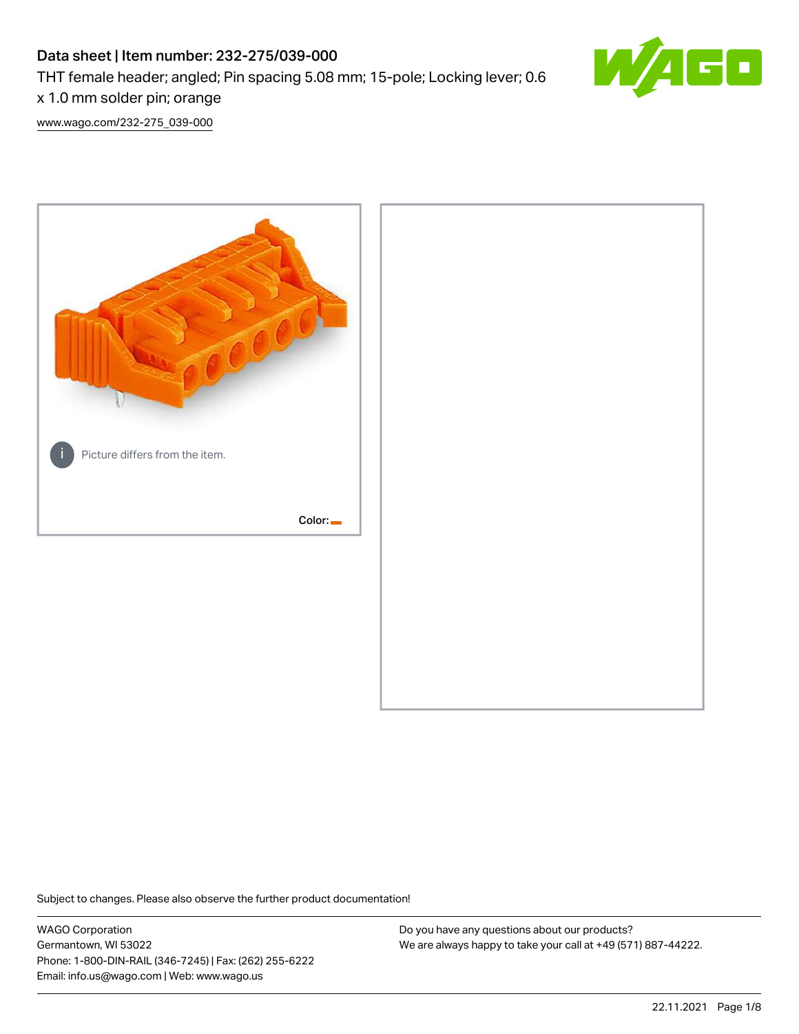# Data sheet | Item number: 232-275/039-000

THT female header; angled; Pin spacing 5.08 mm; 15-pole; Locking lever; 0.6



x 1.0 mm solder pin; orange [www.wago.com/232-275\\_039-000](http://www.wago.com/232-275_039-000)



Subject to changes. Please also observe the further product documentation!

WAGO Corporation Germantown, WI 53022 Phone: 1-800-DIN-RAIL (346-7245) | Fax: (262) 255-6222 Email: info.us@wago.com | Web: www.wago.us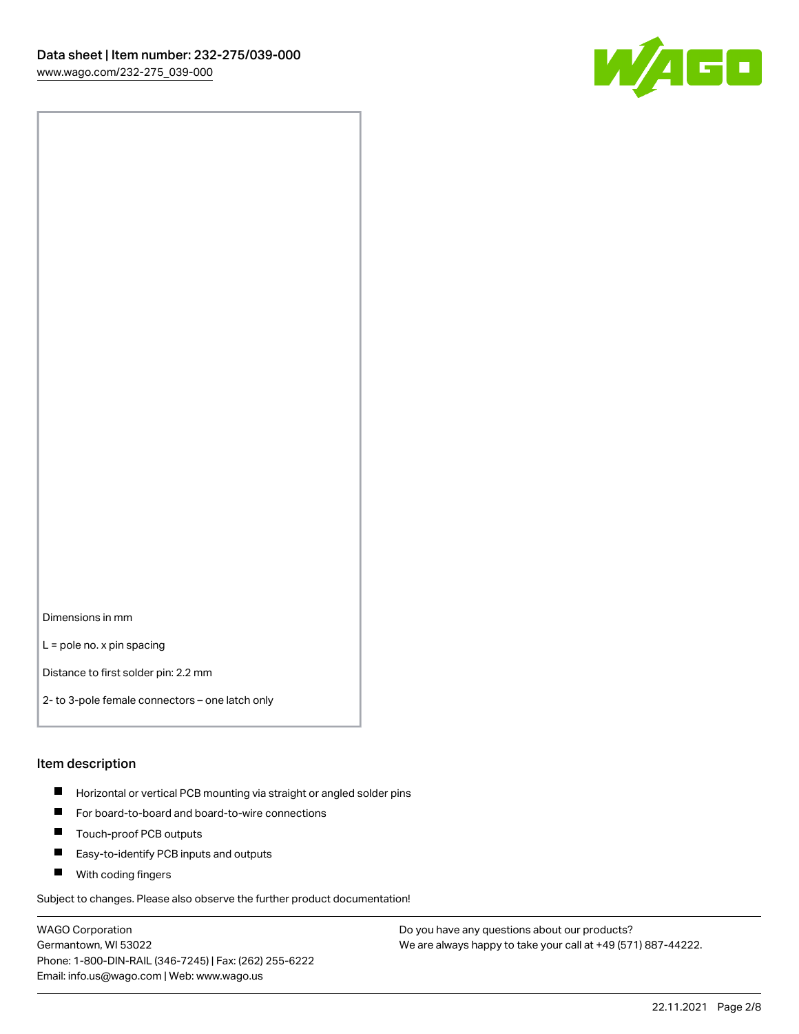

Dimensions in mm

L = pole no. x pin spacing

Distance to first solder pin: 2.2 mm

2- to 3-pole female connectors – one latch only

#### Item description

- **Horizontal or vertical PCB mounting via straight or angled solder pins**
- For board-to-board and board-to-wire connections
- $\blacksquare$ Touch-proof PCB outputs
- $\blacksquare$ Easy-to-identify PCB inputs and outputs
- **Now With coding fingers**

Subject to changes. Please also observe the further product documentation!

WAGO Corporation Germantown, WI 53022 Phone: 1-800-DIN-RAIL (346-7245) | Fax: (262) 255-6222 Email: info.us@wago.com | Web: www.wago.us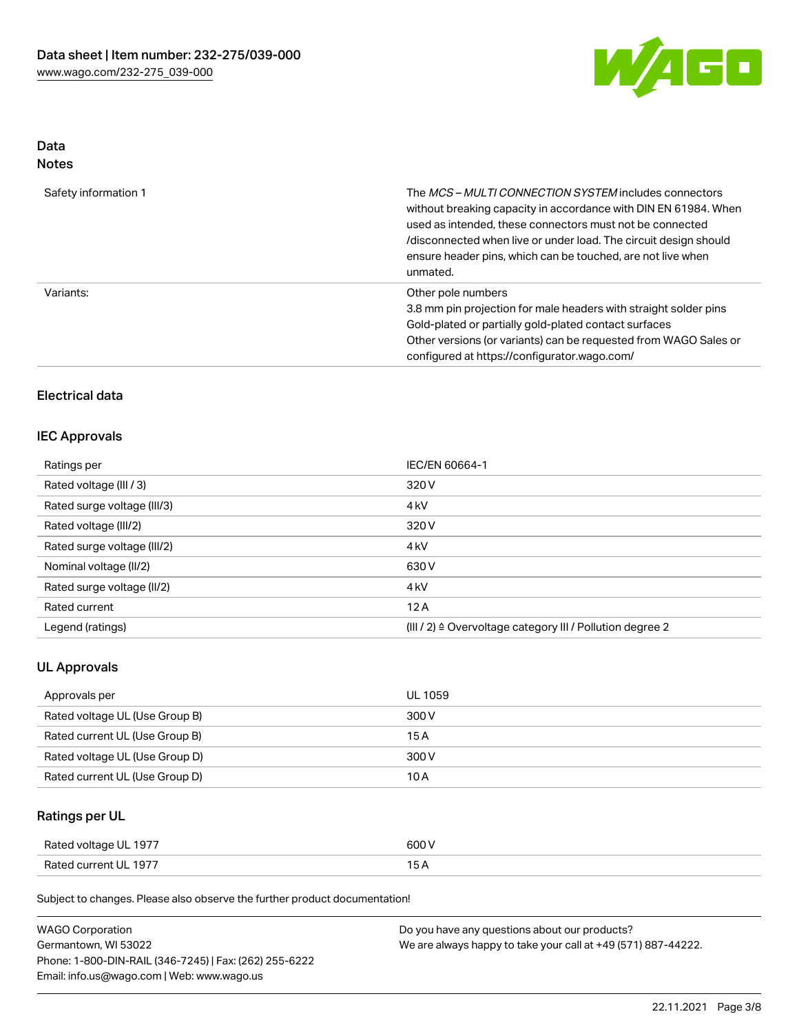

# Data

| Safety information 1 | The <i>MCS – MULTI CONNECTION SYSTEM</i> includes connectors<br>without breaking capacity in accordance with DIN EN 61984. When<br>used as intended, these connectors must not be connected<br>/disconnected when live or under load. The circuit design should<br>ensure header pins, which can be touched, are not live when<br>unmated. |
|----------------------|--------------------------------------------------------------------------------------------------------------------------------------------------------------------------------------------------------------------------------------------------------------------------------------------------------------------------------------------|
| Variants:            | Other pole numbers<br>3.8 mm pin projection for male headers with straight solder pins<br>Gold-plated or partially gold-plated contact surfaces<br>Other versions (or variants) can be requested from WAGO Sales or<br>configured at https://configurator.wago.com/                                                                        |

# Electrical data

# IEC Approvals

| Ratings per                 | IEC/EN 60664-1                                                       |
|-----------------------------|----------------------------------------------------------------------|
| Rated voltage (III / 3)     | 320 V                                                                |
| Rated surge voltage (III/3) | 4 <sub>k</sub> V                                                     |
| Rated voltage (III/2)       | 320 V                                                                |
| Rated surge voltage (III/2) | 4 <sub>k</sub> V                                                     |
| Nominal voltage (II/2)      | 630 V                                                                |
| Rated surge voltage (II/2)  | 4 <sub>k</sub> V                                                     |
| Rated current               | 12A                                                                  |
| Legend (ratings)            | (III / 2) $\triangleq$ Overvoltage category III / Pollution degree 2 |

# UL Approvals

| Approvals per                  | <b>UL 1059</b> |
|--------------------------------|----------------|
| Rated voltage UL (Use Group B) | 300 V          |
| Rated current UL (Use Group B) | 15 A           |
| Rated voltage UL (Use Group D) | 300 V          |
| Rated current UL (Use Group D) | 10 A           |

# Ratings per UL

| Rated voltage UL 1977 | 600 V |
|-----------------------|-------|
| Rated current UL 1977 |       |

Subject to changes. Please also observe the further product documentation!

| <b>WAGO Corporation</b>                                | Do you have any questions about our products?                 |
|--------------------------------------------------------|---------------------------------------------------------------|
| Germantown, WI 53022                                   | We are always happy to take your call at +49 (571) 887-44222. |
| Phone: 1-800-DIN-RAIL (346-7245)   Fax: (262) 255-6222 |                                                               |
| Email: info.us@wago.com   Web: www.wago.us             |                                                               |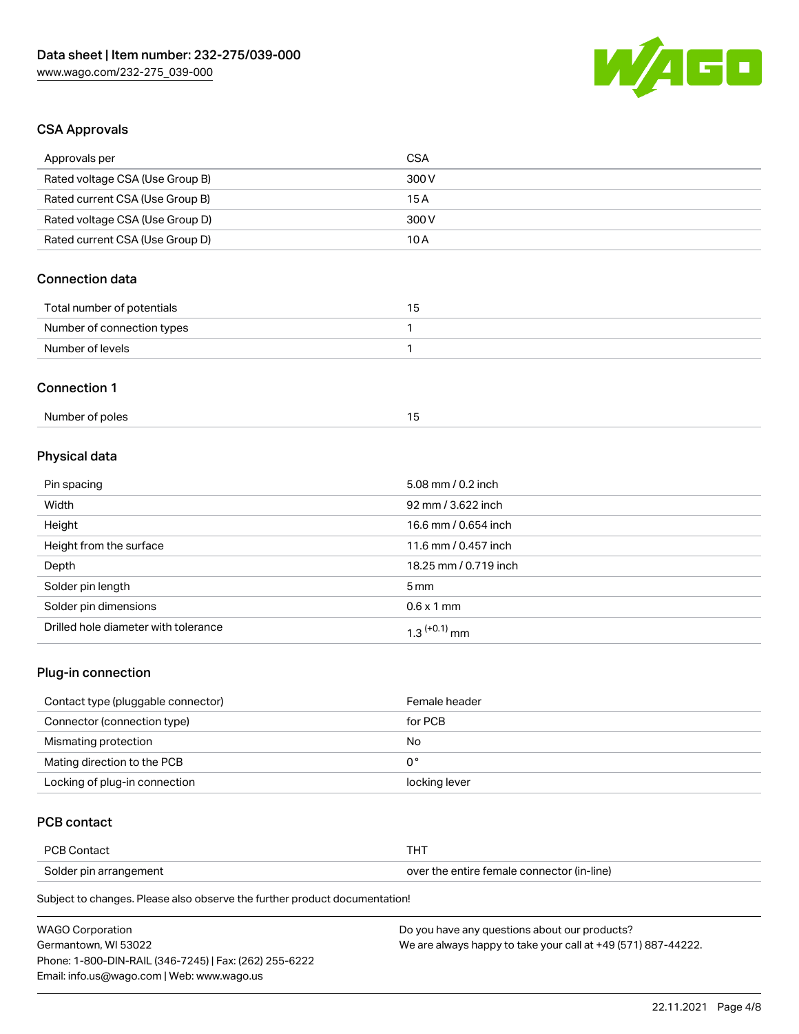

# CSA Approvals

| <b>CSA</b>            |
|-----------------------|
| 300 V                 |
| 15A                   |
| 300V                  |
| 10A                   |
|                       |
| 15                    |
| 1                     |
| 1                     |
|                       |
| 15                    |
|                       |
| 5.08 mm / 0.2 inch    |
| 92 mm / 3.622 inch    |
| 16.6 mm / 0.654 inch  |
| 11.6 mm / 0.457 inch  |
| 18.25 mm / 0.719 inch |
| 5 <sub>mm</sub>       |
|                       |

| Solder pin dimensions                | 0.6 x 1 mm |
|--------------------------------------|------------|
| Drilled hole diameter with tolerance | mm         |

# Plug-in connection

| Contact type (pluggable connector) | Female header |
|------------------------------------|---------------|
| Connector (connection type)        | for PCB       |
| Mismating protection               | No            |
| Mating direction to the PCB        | 0°            |
| Locking of plug-in connection      | locking lever |

# PCB contact

| <b>PCRC</b><br>Contac <sub>u</sub> | тнт                                        |
|------------------------------------|--------------------------------------------|
| Solder pin arrangement             | over the entire female connector (in-line) |

Subject to changes. Please also observe the further product documentation!

| <b>WAGO Corporation</b>                                | Do you have any questions about our products?                 |
|--------------------------------------------------------|---------------------------------------------------------------|
| Germantown, WI 53022                                   | We are always happy to take your call at +49 (571) 887-44222. |
| Phone: 1-800-DIN-RAIL (346-7245)   Fax: (262) 255-6222 |                                                               |
| Email: info.us@wago.com   Web: www.wago.us             |                                                               |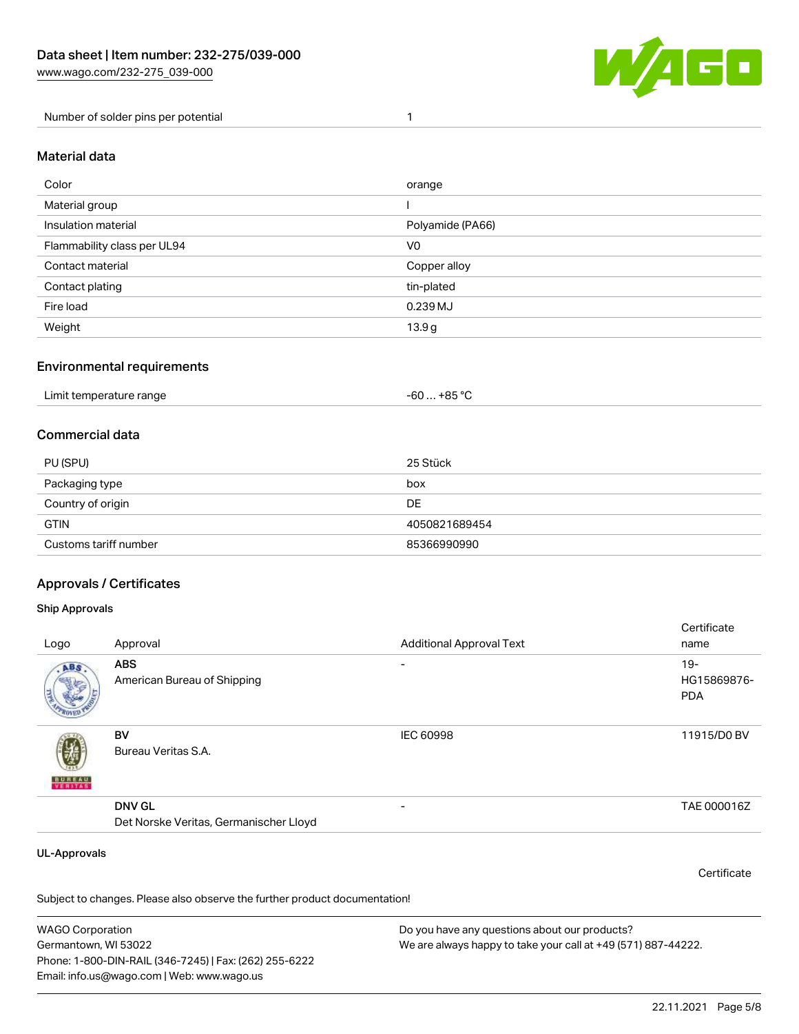

Number of solder pins per potential 1

#### Material data

| Color                       | orange           |
|-----------------------------|------------------|
| Material group              |                  |
| Insulation material         | Polyamide (PA66) |
| Flammability class per UL94 | V <sub>0</sub>   |
| Contact material            | Copper alloy     |
| Contact plating             | tin-plated       |
| Fire load                   | 0.239 MJ         |
| Weight                      | 13.9g            |

### Environmental requirements

| Limit temperature range<br>. | +85 °ົ<br>-60 |
|------------------------------|---------------|
|------------------------------|---------------|

# Commercial data

| PU (SPU)              | 25 Stück      |
|-----------------------|---------------|
| Packaging type        | box           |
| Country of origin     | DE            |
| <b>GTIN</b>           | 4050821689454 |
| Customs tariff number | 85366990990   |

# Approvals / Certificates

#### Ship Approvals

| Logo                | Approval                                                | <b>Additional Approval Text</b> | Certificate<br>name                |
|---------------------|---------------------------------------------------------|---------------------------------|------------------------------------|
| ABS.                | <b>ABS</b><br>American Bureau of Shipping               | $\overline{\phantom{0}}$        | $19-$<br>HG15869876-<br><b>PDA</b> |
| <b>BUREAU</b>       | BV<br>Bureau Veritas S.A.                               | IEC 60998                       | 11915/D0 BV                        |
|                     | <b>DNV GL</b><br>Det Norske Veritas, Germanischer Lloyd |                                 | TAE 000016Z                        |
| <b>UL-Approvals</b> |                                                         |                                 | Certificate                        |

Subject to changes. Please also observe the further product documentation!

WAGO Corporation Germantown, WI 53022 Phone: 1-800-DIN-RAIL (346-7245) | Fax: (262) 255-6222 Email: info.us@wago.com | Web: www.wago.us Do you have any questions about our products? We are always happy to take your call at +49 (571) 887-44222.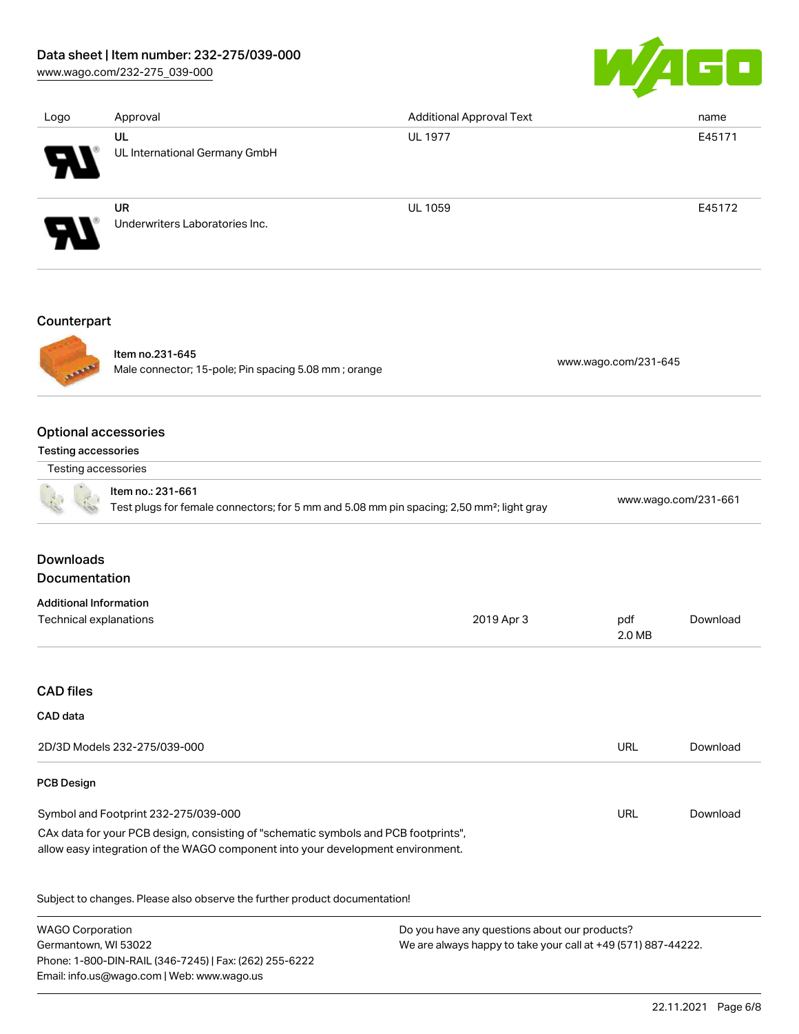# Data sheet | Item number: 232-275/039-000

[www.wago.com/232-275\\_039-000](http://www.wago.com/232-275_039-000)



| Logo                          | Approval                                                                                              | <b>Additional Approval Text</b> |     | name                 |  |
|-------------------------------|-------------------------------------------------------------------------------------------------------|---------------------------------|-----|----------------------|--|
|                               | UL                                                                                                    | <b>UL 1977</b>                  |     | E45171               |  |
|                               | UL International Germany GmbH                                                                         |                                 |     |                      |  |
|                               | <b>UR</b>                                                                                             | <b>UL 1059</b>                  |     | E45172               |  |
|                               | Underwriters Laboratories Inc.                                                                        |                                 |     |                      |  |
| Counterpart                   |                                                                                                       |                                 |     |                      |  |
|                               | Item no.231-645                                                                                       |                                 |     |                      |  |
|                               | Male connector; 15-pole; Pin spacing 5.08 mm; orange                                                  | www.wago.com/231-645            |     |                      |  |
| <b>Optional accessories</b>   |                                                                                                       |                                 |     |                      |  |
| Testing accessories           |                                                                                                       |                                 |     |                      |  |
| Testing accessories           |                                                                                                       |                                 |     |                      |  |
|                               | Item no.: 231-661                                                                                     |                                 |     | www.wago.com/231-661 |  |
|                               | Test plugs for female connectors; for 5 mm and 5.08 mm pin spacing; 2,50 mm <sup>2</sup> ; light gray |                                 |     |                      |  |
| <b>Downloads</b>              |                                                                                                       |                                 |     |                      |  |
| Documentation                 |                                                                                                       |                                 |     |                      |  |
| <b>Additional Information</b> |                                                                                                       |                                 |     |                      |  |
| Technical explanations        |                                                                                                       | 2019 Apr 3                      | pdf | Download             |  |

### CAD files

#### CAD data

| 2D/3D Models 232-275/039-000                                                                                                                                           | URL | Download |
|------------------------------------------------------------------------------------------------------------------------------------------------------------------------|-----|----------|
| <b>PCB Design</b>                                                                                                                                                      |     |          |
| Symbol and Footprint 232-275/039-000                                                                                                                                   | URL | Download |
| CAx data for your PCB design, consisting of "schematic symbols and PCB footprints",<br>allow easy integration of the WAGO component into your development environment. |     |          |

Subject to changes. Please also observe the further product documentation!

WAGO Corporation Germantown, WI 53022 Phone: 1-800-DIN-RAIL (346-7245) | Fax: (262) 255-6222 Email: info.us@wago.com | Web: www.wago.us

Do you have any questions about our products? We are always happy to take your call at +49 (571) 887-44222.

2.0 MB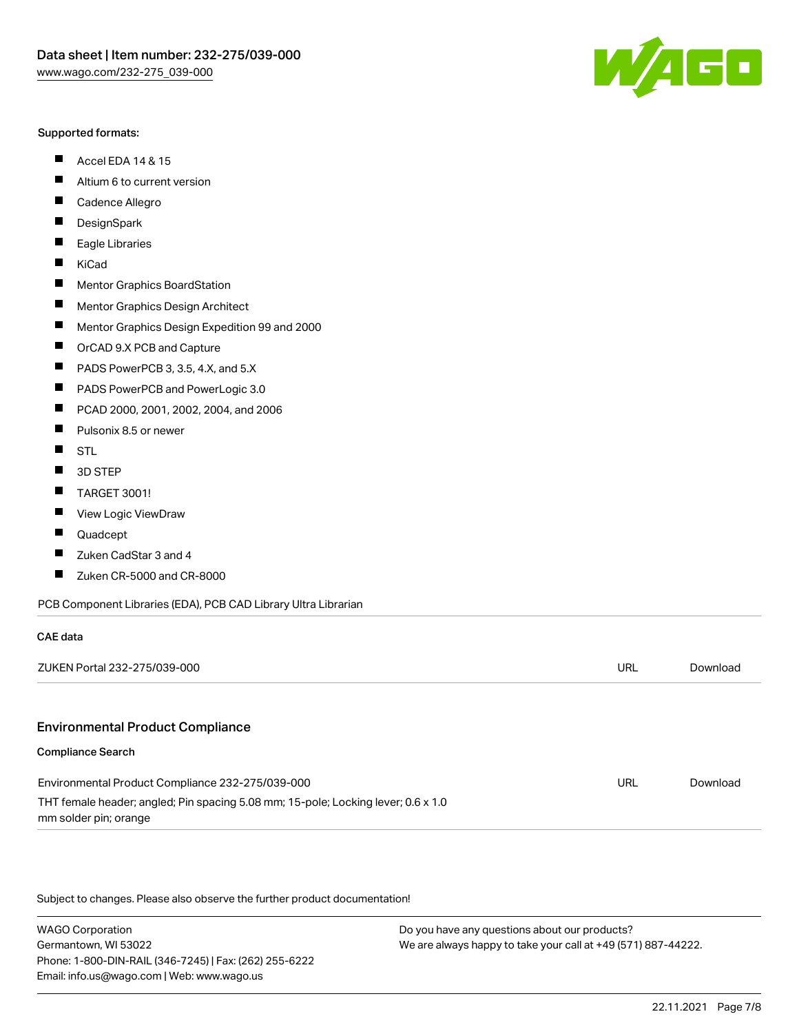#### Supported formats:

- $\blacksquare$ Accel EDA 14 & 15
- $\blacksquare$ Altium 6 to current version
- $\blacksquare$ Cadence Allegro
- $\blacksquare$ **DesignSpark**
- $\blacksquare$ Eagle Libraries
- $\blacksquare$ KiCad
- $\blacksquare$ Mentor Graphics BoardStation
- $\blacksquare$ Mentor Graphics Design Architect
- $\blacksquare$ Mentor Graphics Design Expedition 99 and 2000
- $\blacksquare$ OrCAD 9.X PCB and Capture
- $\blacksquare$ PADS PowerPCB 3, 3.5, 4.X, and 5.X
- $\blacksquare$ PADS PowerPCB and PowerLogic 3.0
- $\blacksquare$ PCAD 2000, 2001, 2002, 2004, and 2006
- $\blacksquare$ Pulsonix 8.5 or newer
- $\blacksquare$ STL
- 3D STEP П
- П TARGET 3001!
- $\blacksquare$ View Logic ViewDraw
- П Quadcept

mm solder pin; orange

CAE data

- Zuken CadStar 3 and 4  $\blacksquare$
- Zuken CR-5000 and CR-8000 П

PCB Component Libraries (EDA), PCB CAD Library Ultra Librarian

| ZUKEN Portal 232-275/039-000                                                      | URL | Download |
|-----------------------------------------------------------------------------------|-----|----------|
|                                                                                   |     |          |
| <b>Environmental Product Compliance</b>                                           |     |          |
| <b>Compliance Search</b>                                                          |     |          |
| Environmental Product Compliance 232-275/039-000                                  | URL | Download |
| THT female header; angled; Pin spacing 5.08 mm; 15-pole; Locking lever; 0.6 x 1.0 |     |          |

Subject to changes. Please also observe the further product documentation!

WAGO Corporation Germantown, WI 53022 Phone: 1-800-DIN-RAIL (346-7245) | Fax: (262) 255-6222 Email: info.us@wago.com | Web: www.wago.us